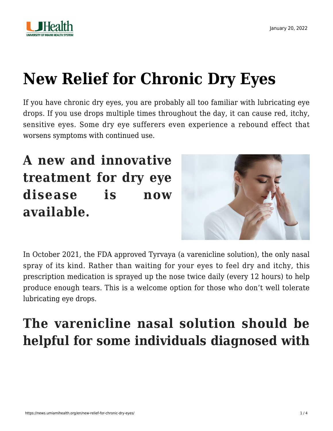

# **[New Relief for Chronic Dry Eyes](https://news.umiamihealth.org/en/new-relief-for-chronic-dry-eyes/)**

If you have chronic dry eyes, you are probably all too familiar with lubricating eye drops. If you use drops multiple times throughout the day, it can cause red, itchy, sensitive eyes. Some dry eye sufferers even experience a rebound effect that worsens symptoms with continued use.

# **A new and innovative treatment for dry eye disease is now available.**



In October 2021, the FDA approved Tyrvaya (a varenicline solution), the only nasal spray of its kind. Rather than waiting for your eyes to feel dry and itchy, this prescription medication is sprayed up the nose twice daily (every 12 hours) to help produce enough tears. This is a welcome option for those who don't well tolerate lubricating eye drops.

# **The varenicline nasal solution should be helpful for some individuals diagnosed with**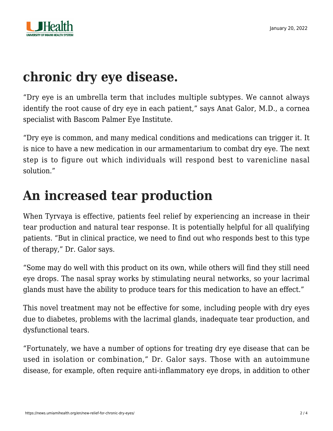

## **chronic dry eye disease.**

"Dry eye is an umbrella term that includes multiple subtypes. We cannot always identify the root cause of dry eye in each patient," says [Anat Galor, M.D.](https://doctors.umiamihealth.org/provider/Anat+Galor/525537?_ga=2.188438184.1419920888.1641832715-1940541531.1506175809), a cornea specialist with Bascom Palmer Eye Institute.

"Dry eye is common, and many medical conditions and medications can trigger it. It is nice to have a new medication in our armamentarium to combat dry eye. The next step is to figure out which individuals will respond best to varenicline nasal solution."

### **An increased tear production**

When Tyrvaya is effective, patients feel relief by experiencing an increase in their tear production and natural tear response. It is potentially helpful for all qualifying patients. "But in clinical practice, we need to find out who responds best to this type of therapy," Dr. Galor says.

"Some may do well with this product on its own, while others will find they still need eye drops. The nasal spray works by stimulating neural networks, so your lacrimal glands must have the ability to produce tears for this medication to have an effect."

This novel treatment may not be effective for some, including people with dry eyes due to diabetes, problems with the lacrimal glands, inadequate tear production, and dysfunctional tears.

"Fortunately, we have a number of options for treating dry eye disease that can be used in isolation or combination," Dr. Galor says. Those with an autoimmune disease, for example, often require anti-inflammatory eye drops, in addition to other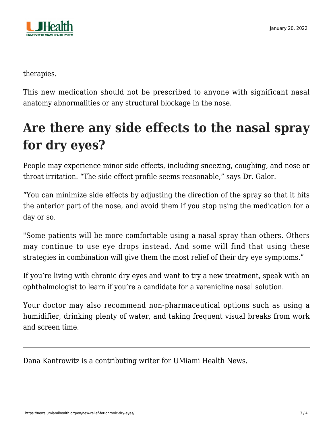

therapies.

This new medication should not be prescribed to anyone with significant nasal anatomy abnormalities or any structural blockage in the nose.

# **Are there any side effects to the nasal spray for dry eyes?**

People may experience minor side effects, including sneezing, coughing, and nose or throat irritation. "The side effect profile seems reasonable," says Dr. Galor.

"You can minimize side effects by adjusting the direction of the spray so that it hits the anterior part of the nose, and avoid them if you stop using the medication for a day or so.

"Some patients will be more comfortable using a nasal spray than others. Others may continue to use eye drops instead. And some will find that using these strategies in combination will give them the most relief of their dry eye symptoms."

If you're living with chronic dry eyes and want to try a new treatment, speak with an ophthalmologist to learn if you're a candidate for a varenicline nasal solution.

Your doctor may also recommend non-pharmaceutical options such as using a humidifier, drinking plenty of water, and taking frequent visual breaks from work and screen time.

Dana Kantrowitz is a contributing writer for UMiami Health News.